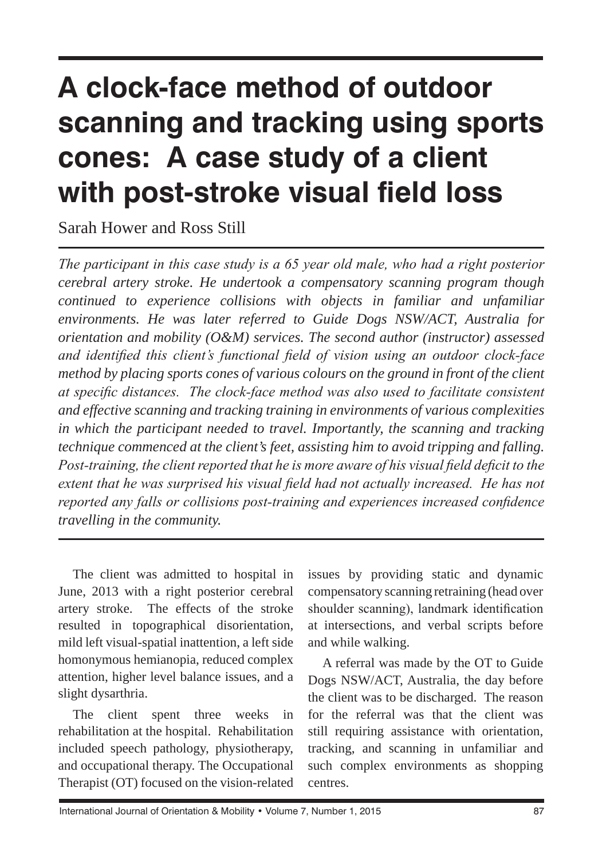# **A clock-face method of outdoor scanning and tracking using sports cones: A case study of a client with post-stroke visual field loss**

Sarah Hower and Ross Still

*The participant in this case study is a 65 year old male, who had a right posterior cerebral artery stroke. He undertook a compensatory scanning program though continued to experience collisions with objects in familiar and unfamiliar environments. He was later referred to Guide Dogs NSW/ACT, Australia for orientation and mobility (O&M) services. The second author (instructor) assessed and identified this client's functional field of vision using an outdoor clock-face method by placing sports cones of various colours on the ground in front of the client at specific distances. The clock-face method was also used to facilitate consistent and effective scanning and tracking training in environments of various complexities in which the participant needed to travel. Importantly, the scanning and tracking technique commenced at the client's feet, assisting him to avoid tripping and falling. Post-training, the client reported that he is more aware of his visual field deficit to the extent that he was surprised his visual field had not actually increased. He has not reported any falls or collisions post-training and experiences increased confidence travelling in the community.* 

The client was admitted to hospital in June, 2013 with a right posterior cerebral artery stroke. The effects of the stroke resulted in topographical disorientation, mild left visual-spatial inattention, a left side homonymous hemianopia, reduced complex attention, higher level balance issues, and a slight dysarthria.

The client spent three weeks in rehabilitation at the hospital. Rehabilitation included speech pathology, physiotherapy, and occupational therapy. The Occupational Therapist (OT) focused on the vision-related issues by providing static and dynamic compensatory scanning retraining (head over shoulder scanning), landmark identification at intersections, and verbal scripts before and while walking.

A referral was made by the OT to Guide Dogs NSW/ACT, Australia, the day before the client was to be discharged. The reason for the referral was that the client was still requiring assistance with orientation, tracking, and scanning in unfamiliar and such complex environments as shopping centres.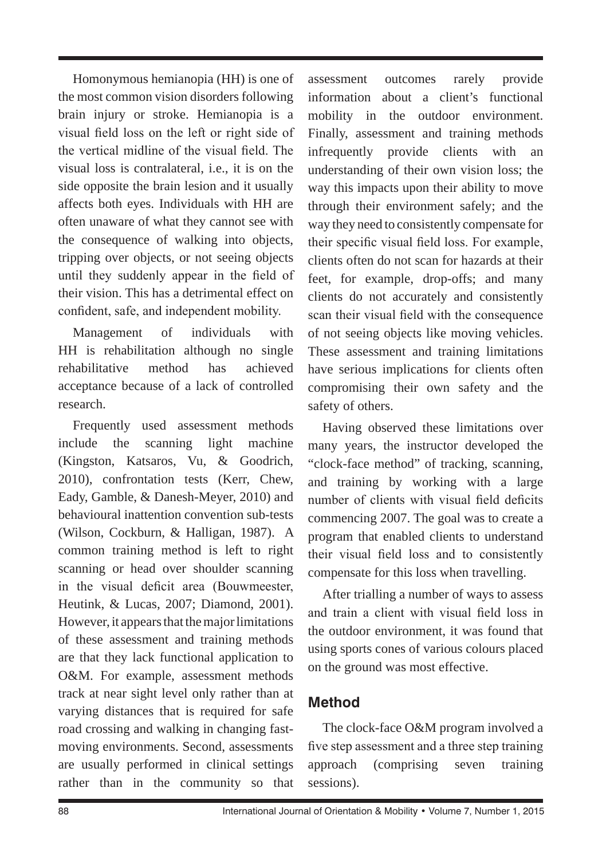Homonymous hemianopia (HH) is one of the most common vision disorders following brain injury or stroke. Hemianopia is a visual field loss on the left or right side of the vertical midline of the visual field. The visual loss is contralateral, i.e., it is on the side opposite the brain lesion and it usually affects both eyes. Individuals with HH are often unaware of what they cannot see with the consequence of walking into objects, tripping over objects, or not seeing objects until they suddenly appear in the field of their vision. This has a detrimental effect on confident, safe, and independent mobility.

Management of individuals with HH is rehabilitation although no single rehabilitative method has achieved acceptance because of a lack of controlled research.

Frequently used assessment methods include the scanning light machine (Kingston, Katsaros, Vu, & Goodrich, 2010), confrontation tests (Kerr, Chew, Eady, Gamble, & Danesh-Meyer, 2010) and behavioural inattention convention sub-tests (Wilson, Cockburn, & Halligan, 1987). A common training method is left to right scanning or head over shoulder scanning in the visual deficit area (Bouwmeester, Heutink, & Lucas, 2007; Diamond, 2001). However, it appears that the major limitations of these assessment and training methods are that they lack functional application to O&M. For example, assessment methods track at near sight level only rather than at varying distances that is required for safe road crossing and walking in changing fastmoving environments. Second, assessments are usually performed in clinical settings rather than in the community so that assessment outcomes rarely provide information about a client's functional mobility in the outdoor environment. Finally, assessment and training methods infrequently provide clients with an understanding of their own vision loss; the way this impacts upon their ability to move through their environment safely; and the way they need to consistently compensate for their specific visual field loss. For example, clients often do not scan for hazards at their feet, for example, drop-offs; and many clients do not accurately and consistently scan their visual field with the consequence of not seeing objects like moving vehicles. These assessment and training limitations have serious implications for clients often compromising their own safety and the safety of others.

Having observed these limitations over many years, the instructor developed the "clock-face method" of tracking, scanning, and training by working with a large number of clients with visual field deficits commencing 2007. The goal was to create a program that enabled clients to understand their visual field loss and to consistently compensate for this loss when travelling.

After trialling a number of ways to assess and train a client with visual field loss in the outdoor environment, it was found that using sports cones of various colours placed on the ground was most effective.

# **Method**

The clock-face O&M program involved a five step assessment and a three step training approach (comprising seven training sessions).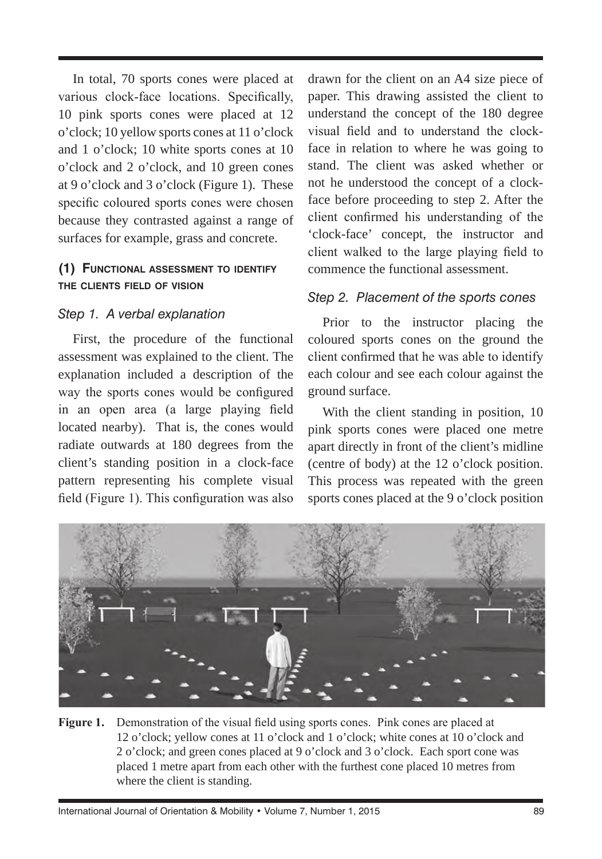In total, 70 sports cones were placed at various clock-face locations. Specifically, 10 pink sports cones were placed at 12 o'clock; 10 yellow sports cones at 11 o'clock and 1 o'clock; 10 white sports cones at 10 o'clock and 2 o'clock, and 10 green cones at 9 o'clock and 3 o'clock (Figure 1). These specific coloured sports cones were chosen because they contrasted against a range of surfaces for example, grass and concrete.

#### **(1) Functional assessment to identify the clients field of vision**

#### *Step 1. A verbal explanation*

First, the procedure of the functional assessment was explained to the client. The explanation included a description of the way the sports cones would be configured in an open area (a large playing field located nearby). That is, the cones would radiate outwards at 180 degrees from the client's standing position in a clock-face pattern representing his complete visual field (Figure 1). This configuration was also

drawn for the client on an A4 size piece of paper. This drawing assisted the client to understand the concept of the 180 degree visual field and to understand the clockface in relation to where he was going to stand. The client was asked whether or not he understood the concept of a clockface before proceeding to step 2. After the client confirmed his understanding of the 'clock-face' concept, the instructor and client walked to the large playing field to commence the functional assessment.

#### *Step 2. Placement of the sports cones*

Prior to the instructor placing the coloured sports cones on the ground the client confirmed that he was able to identify each colour and see each colour against the ground surface.

With the client standing in position, 10 pink sports cones were placed one metre apart directly in front of the client's midline (centre of body) at the 12 o'clock position. This process was repeated with the green sports cones placed at the 9 o'clock position



**Figure 1.** Demonstration of the visual field using sports cones. Pink cones are placed at 12 o'clock; yellow cones at 11 o'clock and 1 o'clock; white cones at 10 o'clock and 2 o'clock; and green cones placed at 9 o'clock and 3 o'clock. Each sport cone was placed 1 metre apart from each other with the furthest cone placed 10 metres from where the client is standing.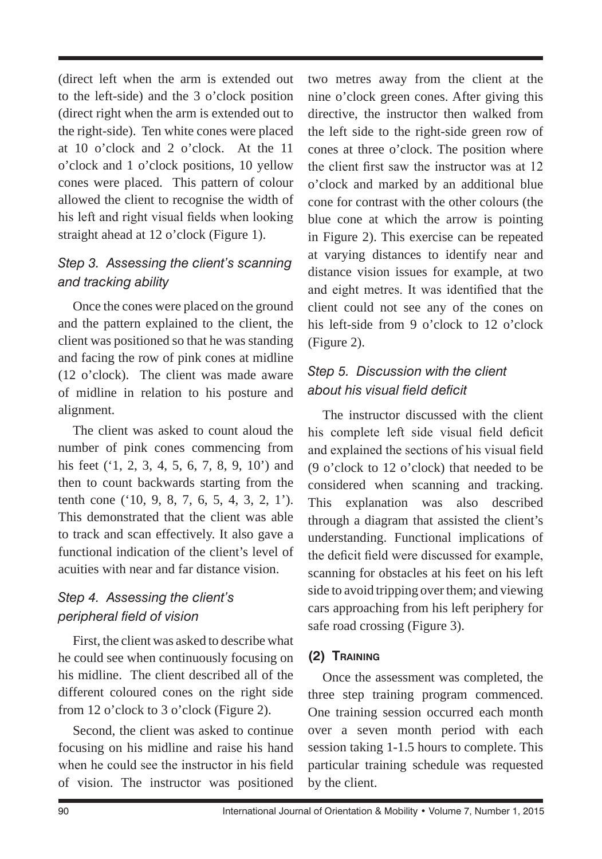(direct left when the arm is extended out to the left-side) and the 3 o'clock position (direct right when the arm is extended out to the right-side). Ten white cones were placed at 10 o'clock and 2 o'clock. At the 11 o'clock and 1 o'clock positions, 10 yellow cones were placed. This pattern of colour allowed the client to recognise the width of his left and right visual fields when looking straight ahead at 12 o'clock (Figure 1).

### *Step 3. Assessing the client's scanning and tracking ability*

Once the cones were placed on the ground and the pattern explained to the client, the client was positioned so that he was standing and facing the row of pink cones at midline (12 o'clock). The client was made aware of midline in relation to his posture and alignment.

The client was asked to count aloud the number of pink cones commencing from his feet ('1, 2, 3, 4, 5, 6, 7, 8, 9, 10') and then to count backwards starting from the tenth cone ('10, 9, 8, 7, 6, 5, 4, 3, 2, 1'). This demonstrated that the client was able to track and scan effectively. It also gave a functional indication of the client's level of acuities with near and far distance vision.

### *Step 4. Assessing the client's peripheral field of vision*

First, the client was asked to describe what he could see when continuously focusing on his midline. The client described all of the different coloured cones on the right side from 12 o'clock to 3 o'clock (Figure 2).

Second, the client was asked to continue focusing on his midline and raise his hand when he could see the instructor in his field of vision. The instructor was positioned

two metres away from the client at the nine o'clock green cones. After giving this directive, the instructor then walked from the left side to the right-side green row of cones at three o'clock. The position where the client first saw the instructor was at 12 o'clock and marked by an additional blue cone for contrast with the other colours (the blue cone at which the arrow is pointing in Figure 2). This exercise can be repeated at varying distances to identify near and distance vision issues for example, at two and eight metres. It was identified that the client could not see any of the cones on his left-side from 9 o'clock to 12 o'clock (Figure 2).

## *Step 5. Discussion with the client about his visual field deficit*

The instructor discussed with the client his complete left side visual field deficit and explained the sections of his visual field (9 o'clock to 12 o'clock) that needed to be considered when scanning and tracking. This explanation was also described through a diagram that assisted the client's understanding. Functional implications of the deficit field were discussed for example, scanning for obstacles at his feet on his left side to avoid tripping over them; and viewing cars approaching from his left periphery for safe road crossing (Figure 3).

### **(2) Training**

Once the assessment was completed, the three step training program commenced. One training session occurred each month over a seven month period with each session taking 1-1.5 hours to complete. This particular training schedule was requested by the client.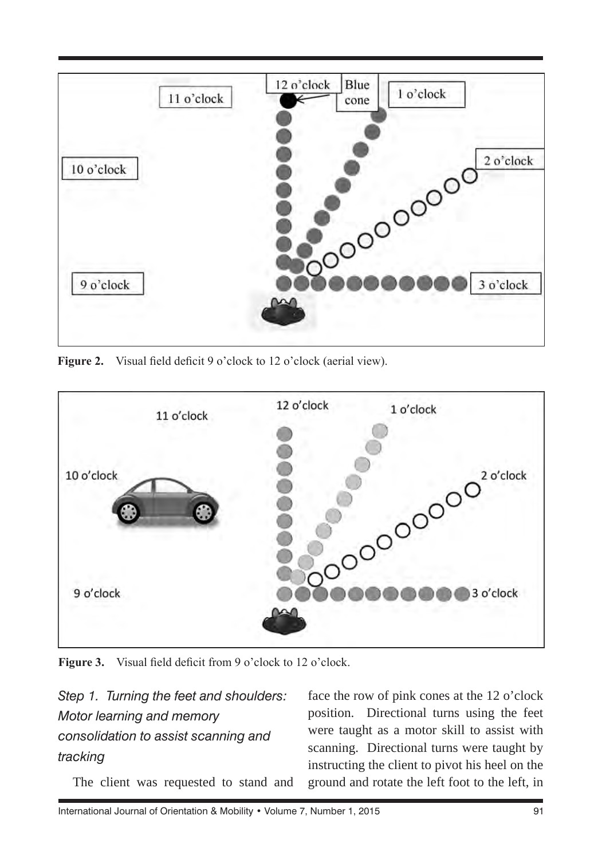

Figure 2. Visual field deficit 9 o'clock to 12 o'clock (aerial view).



Figure 3. Visual field deficit from 9 o'clock to 12 o'clock.

*Step 1. Turning the feet and shoulders: Motor learning and memory consolidation to assist scanning and tracking*

The client was requested to stand and

face the row of pink cones at the 12 o'clock position. Directional turns using the feet were taught as a motor skill to assist with scanning. Directional turns were taught by instructing the client to pivot his heel on the ground and rotate the left foot to the left, in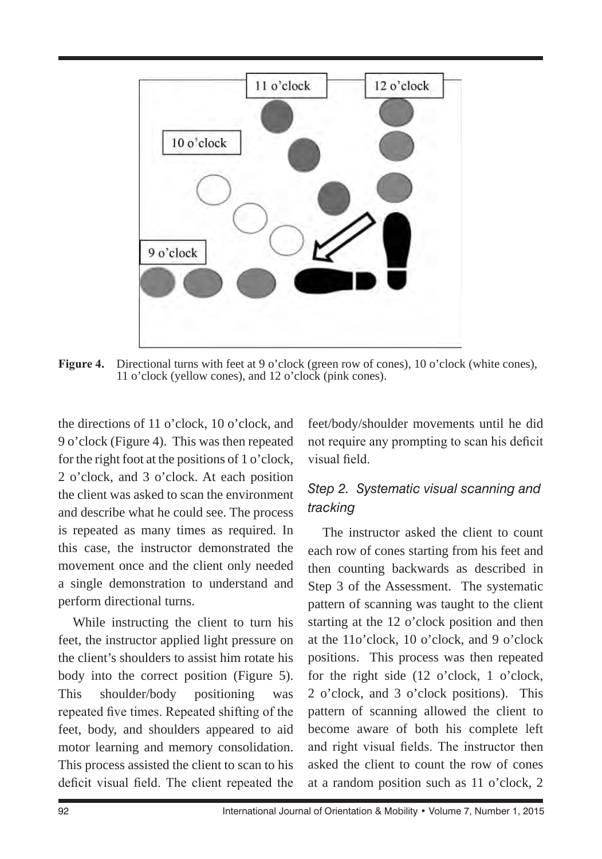

**Figure 4.** Directional turns with feet at 9 o'clock (green row of cones), 10 o'clock (white cones), 11 o'clock (yellow cones), and 12 o'clock (pink cones).

the directions of 11 o'clock, 10 o'clock, and 9 o'clock (Figure 4). This was then repeated for the right foot at the positions of 1 o'clock, 2 o'clock, and 3 o'clock. At each position the client was asked to scan the environment and describe what he could see. The process is repeated as many times as required. In this case, the instructor demonstrated the movement once and the client only needed a single demonstration to understand and perform directional turns.

While instructing the client to turn his feet, the instructor applied light pressure on the client's shoulders to assist him rotate his body into the correct position (Figure 5). This shoulder/body positioning was repeated five times. Repeated shifting of the feet, body, and shoulders appeared to aid motor learning and memory consolidation. This process assisted the client to scan to his deficit visual field. The client repeated the feet/body/shoulder movements until he did not require any prompting to scan his deficit visual field.

### *Step 2. Systematic visual scanning and tracking*

The instructor asked the client to count each row of cones starting from his feet and then counting backwards as described in Step 3 of the Assessment. The systematic pattern of scanning was taught to the client starting at the 12 o'clock position and then at the 11o'clock, 10 o'clock, and 9 o'clock positions. This process was then repeated for the right side (12 o'clock, 1 o'clock, 2 o'clock, and 3 o'clock positions). This pattern of scanning allowed the client to become aware of both his complete left and right visual fields. The instructor then asked the client to count the row of cones at a random position such as 11 o'clock, 2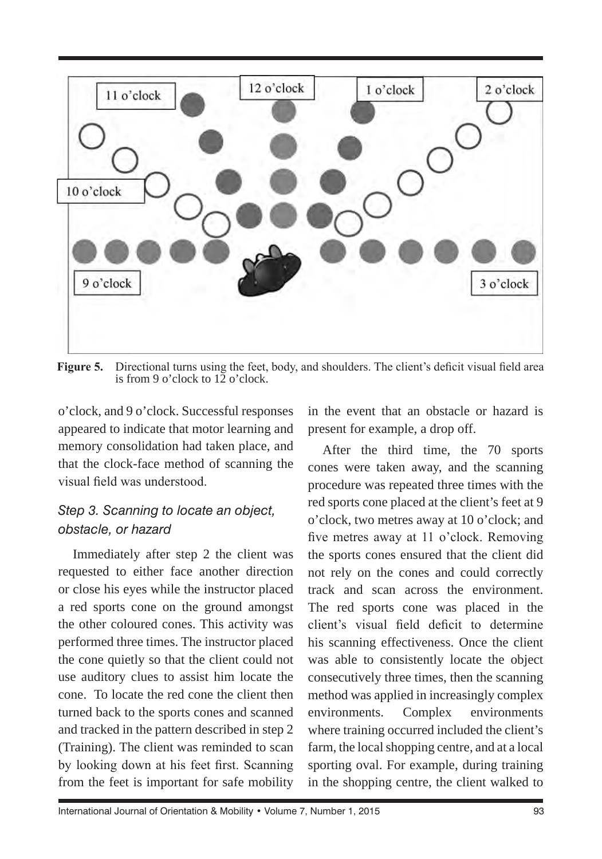

**Figure 5.** Directional turns using the feet, body, and shoulders. The client's deficit visual field area is from 9 o'clock to 12 o'clock.

o'clock, and 9 o'clock. Successful responses appeared to indicate that motor learning and memory consolidation had taken place, and that the clock-face method of scanning the visual field was understood.

#### *Step 3. Scanning to locate an object, obstacle, or hazard*

Immediately after step 2 the client was requested to either face another direction or close his eyes while the instructor placed a red sports cone on the ground amongst the other coloured cones. This activity was performed three times. The instructor placed the cone quietly so that the client could not use auditory clues to assist him locate the cone. To locate the red cone the client then turned back to the sports cones and scanned and tracked in the pattern described in step 2 (Training). The client was reminded to scan by looking down at his feet first. Scanning from the feet is important for safe mobility in the event that an obstacle or hazard is present for example, a drop off.

After the third time, the 70 sports cones were taken away, and the scanning procedure was repeated three times with the red sports cone placed at the client's feet at 9 o'clock, two metres away at 10 o'clock; and five metres away at 11 o'clock. Removing the sports cones ensured that the client did not rely on the cones and could correctly track and scan across the environment. The red sports cone was placed in the client's visual field deficit to determine his scanning effectiveness. Once the client was able to consistently locate the object consecutively three times, then the scanning method was applied in increasingly complex environments. Complex environments where training occurred included the client's farm, the local shopping centre, and at a local sporting oval. For example, during training in the shopping centre, the client walked to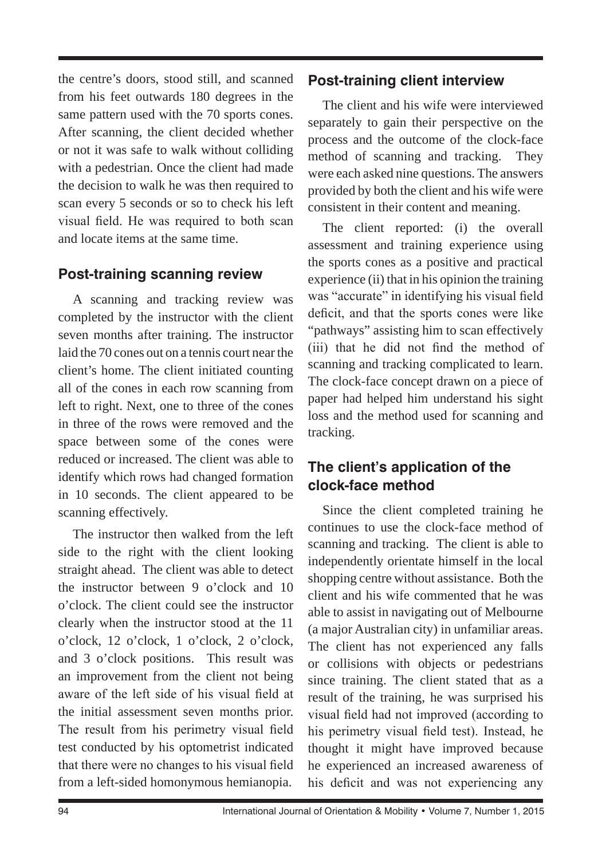the centre's doors, stood still, and scanned from his feet outwards 180 degrees in the same pattern used with the 70 sports cones. After scanning, the client decided whether or not it was safe to walk without colliding with a pedestrian. Once the client had made the decision to walk he was then required to scan every 5 seconds or so to check his left visual field. He was required to both scan and locate items at the same time.

### **Post-training scanning review**

A scanning and tracking review was completed by the instructor with the client seven months after training. The instructor laid the 70 cones out on a tennis court near the client's home. The client initiated counting all of the cones in each row scanning from left to right. Next, one to three of the cones in three of the rows were removed and the space between some of the cones were reduced or increased. The client was able to identify which rows had changed formation in 10 seconds. The client appeared to be scanning effectively.

The instructor then walked from the left side to the right with the client looking straight ahead. The client was able to detect the instructor between 9 o'clock and 10 o'clock. The client could see the instructor clearly when the instructor stood at the 11 o'clock, 12 o'clock, 1 o'clock, 2 o'clock, and 3 o'clock positions. This result was an improvement from the client not being aware of the left side of his visual field at the initial assessment seven months prior. The result from his perimetry visual field test conducted by his optometrist indicated that there were no changes to his visual field from a left-sided homonymous hemianopia.

#### **Post-training client interview**

The client and his wife were interviewed separately to gain their perspective on the process and the outcome of the clock-face method of scanning and tracking. They were each asked nine questions. The answers provided by both the client and his wife were consistent in their content and meaning.

The client reported: (i) the overall assessment and training experience using the sports cones as a positive and practical experience (ii) that in his opinion the training was "accurate" in identifying his visual field deficit, and that the sports cones were like "pathways" assisting him to scan effectively (iii) that he did not find the method of scanning and tracking complicated to learn. The clock-face concept drawn on a piece of paper had helped him understand his sight loss and the method used for scanning and tracking.

## **The client's application of the clock-face method**

Since the client completed training he continues to use the clock-face method of scanning and tracking. The client is able to independently orientate himself in the local shopping centre without assistance. Both the client and his wife commented that he was able to assist in navigating out of Melbourne (a major Australian city) in unfamiliar areas. The client has not experienced any falls or collisions with objects or pedestrians since training. The client stated that as a result of the training, he was surprised his visual field had not improved (according to his perimetry visual field test). Instead, he thought it might have improved because he experienced an increased awareness of his deficit and was not experiencing any